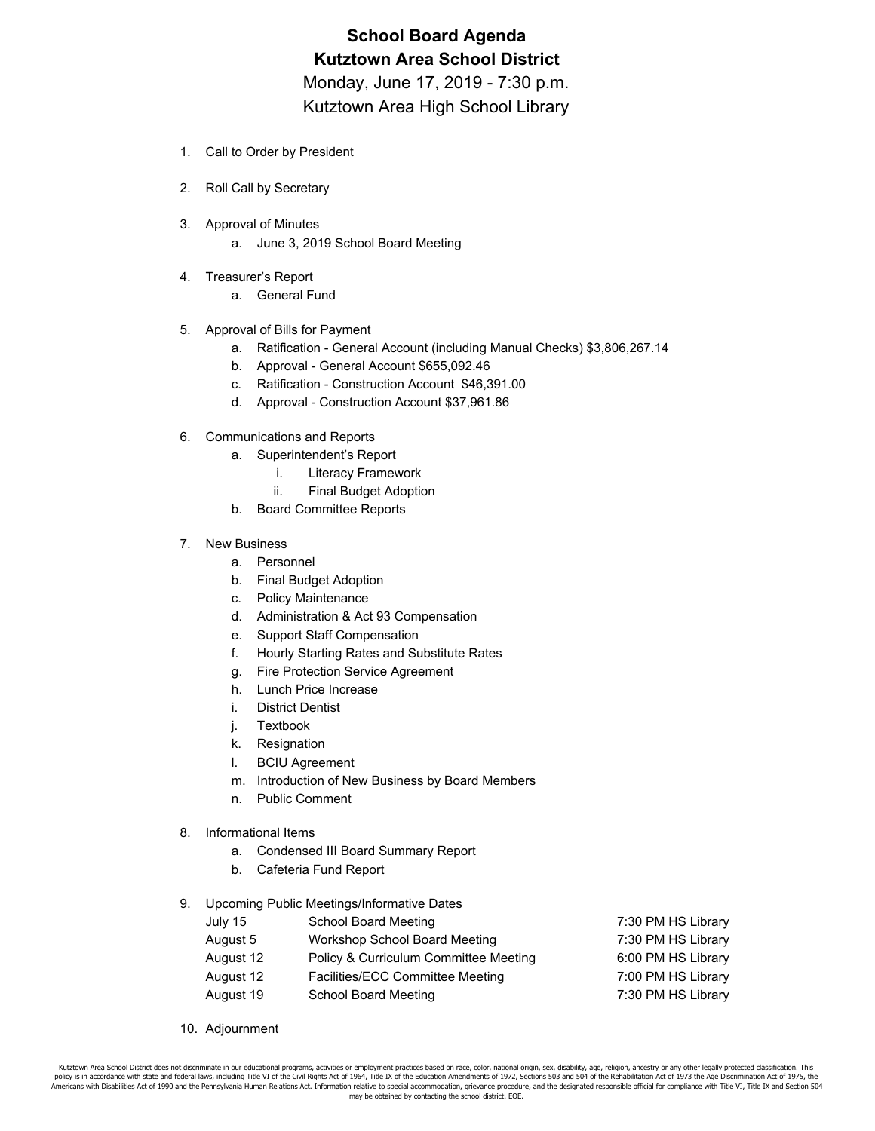# **School Board Agenda Kutztown Area School District** Monday, June 17, 2019 - 7:30 p.m.

Kutztown Area High School Library

- 1. Call to Order by President
- 2. Roll Call by Secretary
- 3. Approval of Minutes
	- a. June 3, 2019 School Board Meeting
- 4. Treasurer's Report
	- a. General Fund
- 5. Approval of Bills for Payment
	- a. Ratification General Account (including Manual Checks) \$3,806,267.14
	- b. Approval General Account \$655,092.46
	- c. Ratification Construction Account \$46,391.00
	- d. Approval Construction Account \$37,961.86
- 6. Communications and Reports
	- a. Superintendent's Report
		- i. Literacy Framework
		- ii. Final Budget Adoption
	- b. Board Committee Reports
- 7. New Business
	- a. Personnel
	- b. Final Budget Adoption
	- c. Policy Maintenance
	- d. Administration & Act 93 Compensation
	- e. Support Staff Compensation
	- f. Hourly Starting Rates and Substitute Rates
	- g. Fire Protection Service Agreement
	- h. Lunch Price Increase
	- i. District Dentist
	- j. Textbook
	- k. Resignation
	- l. BCIU Agreement
	- m. Introduction of New Business by Board Members
	- n. Public Comment
- 8. Informational Items
	- a. Condensed III Board Summary Report
	- b. Cafeteria Fund Report
- 9. Upcoming Public Meetings/Informative Dates

| July 15   | School Board Meeting                  | 7:30 PM HS Library |
|-----------|---------------------------------------|--------------------|
| August 5  | Workshop School Board Meeting         | 7:30 PM HS Library |
| August 12 | Policy & Curriculum Committee Meeting | 6:00 PM HS Library |
| August 12 | Facilities/ECC Committee Meeting      | 7:00 PM HS Library |
| August 19 | School Board Meeting                  | 7:30 PM HS Library |
|           |                                       |                    |

10. Adjournment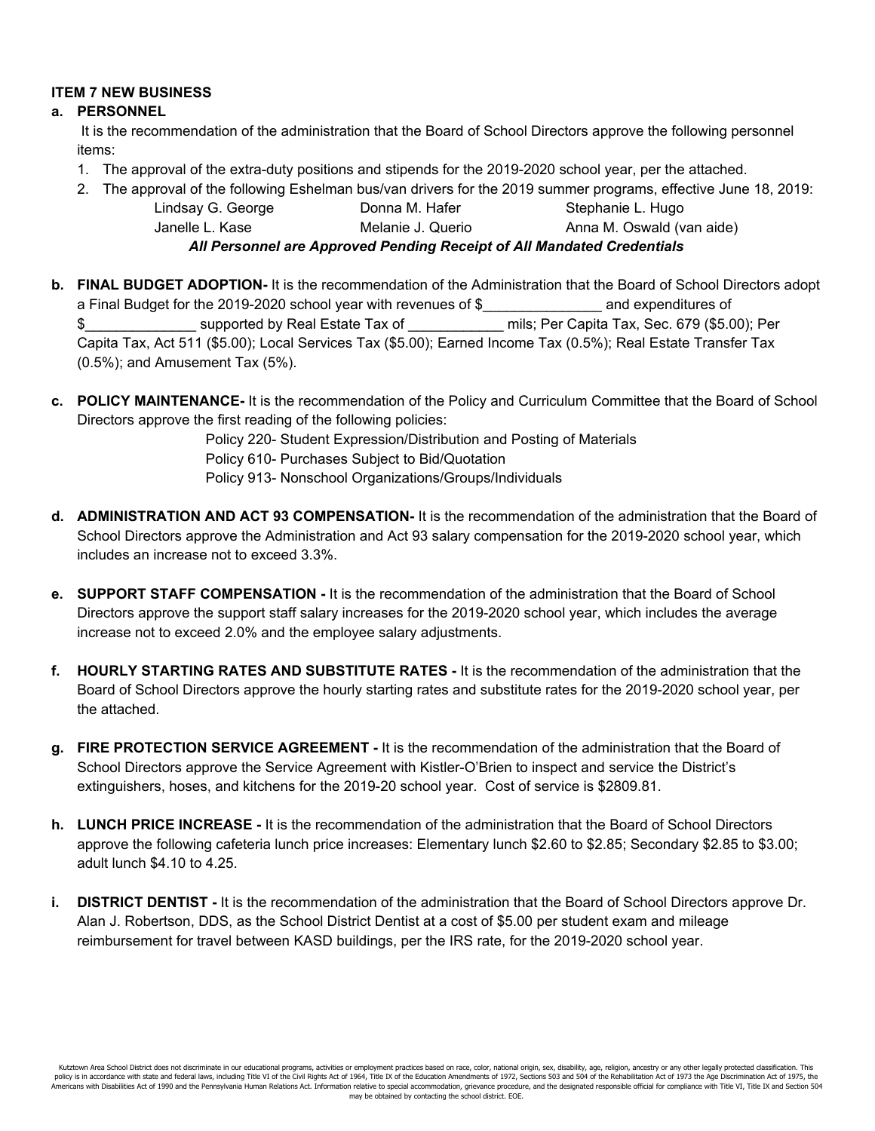## **ITEM 7 NEW BUSINESS**

## **a. PERSONNEL**

It is the recommendation of the administration that the Board of School Directors approve the following personnel items:

- 1. The approval of the extra-duty positions and stipends for the 2019-2020 school year, per the attached.
- 2. The approval of the following Eshelman bus/van drivers for the 2019 summer programs, effective June 18, 2019:

Lindsay G. George **Donna M. Hafer** Stephanie L. Hugo Janelle L. Kase **Melanie J. Querio Anna M. Oswald (van aide**) *All Personnel are Approved Pending Receipt of All Mandated Credentials*

- **b. FINAL BUDGET ADOPTION-** It is the recommendation of the Administration that the Board of School Directors adopt a Final Budget for the 2019-2020 school year with revenues of \$ and expenditures of \$ supported by Real Estate Tax of  $\blacksquare$  mils; Per Capita Tax, Sec. 679 (\$5.00); Per Capita Tax, Act 511 (\$5.00); Local Services Tax (\$5.00); Earned Income Tax (0.5%); Real Estate Transfer Tax (0.5%); and Amusement Tax (5%).
- **c. POLICY MAINTENANCE-** It is the recommendation of the Policy and Curriculum Committee that the Board of School Directors approve the first reading of the following policies:

Policy 220- Student Expression/Distribution and Posting of Materials Policy 610- Purchases Subject to Bid/Quotation

Policy 913- Nonschool Organizations/Groups/Individuals

- **d. ADMINISTRATION AND ACT 93 COMPENSATION-** It is the recommendation of the administration that the Board of School Directors approve the Administration and Act 93 salary compensation for the 2019-2020 school year, which includes an increase not to exceed 3.3%.
- **e. SUPPORT STAFF COMPENSATION -** It is the recommendation of the administration that the Board of School Directors approve the support staff salary increases for the 2019-2020 school year, which includes the average increase not to exceed 2.0% and the employee salary adjustments.
- **f. HOURLY STARTING RATES AND SUBSTITUTE RATES -** It is the recommendation of the administration that the Board of School Directors approve the hourly starting rates and substitute rates for the 2019-2020 school year, per the attached.
- **g. FIRE PROTECTION SERVICE AGREEMENT -** It is the recommendation of the administration that the Board of School Directors approve the Service Agreement with Kistler-O'Brien to inspect and service the District's extinguishers, hoses, and kitchens for the 2019-20 school year. Cost of service is \$2809.81.
- **h. LUNCH PRICE INCREASE -** It is the recommendation of the administration that the Board of School Directors approve the following cafeteria lunch price increases: Elementary lunch \$2.60 to \$2.85; Secondary \$2.85 to \$3.00; adult lunch \$4.10 to 4.25.
- **i. DISTRICT DENTIST -** It is the recommendation of the administration that the Board of School Directors approve Dr. Alan J. Robertson, DDS, as the School District Dentist at a cost of \$5.00 per student exam and mileage reimbursement for travel between KASD buildings, per the IRS rate, for the 2019-2020 school year.